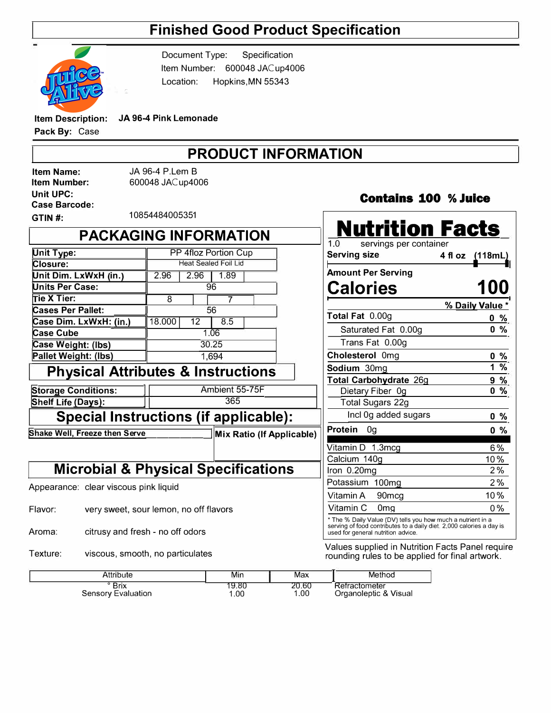## **Finished Good Product Specification**



Document Type: Specification Item Number: 600048 JACup4006 Location: Hopkins.MN 55343

**Item Description: JA 96-4 Pink Lemonade** 

**Pack By:** Case

## **PRODUCT INFORMATION**

**Item Name: Item Number: Unit UPC: Case Barcode:**  JA 96-4 P.Lem B 600048 JACup4006

**Contains 100 % Juice** 

| GTIN#:                                                            | 10854484005351               |                             |                                                             |                                |                 |  |
|-------------------------------------------------------------------|------------------------------|-----------------------------|-------------------------------------------------------------|--------------------------------|-----------------|--|
|                                                                   | <b>PACKAGING INFORMATION</b> |                             |                                                             | <b>Nutrition Facts</b>         |                 |  |
|                                                                   |                              |                             |                                                             | 1.0<br>servings per container  |                 |  |
| Unit Type:                                                        | PP 4floz Portion Cup         |                             |                                                             | <b>Serving size</b>            | 4 fl oz (118mL) |  |
| Closure:                                                          |                              | <b>Heat Sealed Foil Lid</b> |                                                             |                                |                 |  |
| Unit Dim. LxWxH (in.)                                             | 2.96<br>1.89<br>2.96         |                             | <b>Amount Per Serving</b>                                   |                                |                 |  |
| <b>Units Per Case:</b>                                            | 96                           |                             | <b>Calories</b>                                             | <b>100</b>                     |                 |  |
| Tie X Tier:                                                       | 8                            | $\overline{7}$              |                                                             |                                | % Daily Value * |  |
| <b>Cases Per Pallet:</b>                                          |                              | 56                          |                                                             | Total Fat 0.00g                | $0\%$           |  |
| Case Dim. LxWxH: (in.)                                            | 18.000<br>12                 | 8.5                         |                                                             |                                |                 |  |
| <b>Case Cube</b>                                                  | 1.06                         |                             | $0\%$<br>Saturated Fat 0.00g                                |                                |                 |  |
| Case Weight: (lbs)                                                | 30.25                        |                             |                                                             | Trans Fat 0.00g                |                 |  |
| Pallet Weight: (lbs)                                              |                              | 1,694                       |                                                             | Cholesterol 0mg<br>$0\%$       |                 |  |
| <b>Physical Attributes &amp; Instructions</b>                     |                              |                             |                                                             | Sodium 30mg                    | 1%              |  |
|                                                                   |                              |                             |                                                             | <b>Total Carbohydrate 26g</b>  | $9\%$           |  |
| <b>Storage Conditions:</b>                                        | Ambient 55-75F               |                             | Dietary Fiber 0g                                            | $0\%$                          |                 |  |
| Shelf Life (Days):                                                | 365                          |                             | Total Sugars 22g                                            |                                |                 |  |
| <b>Special Instructions (if applicable):</b>                      |                              |                             |                                                             | Incl 0g added sugars           | $0\%$           |  |
| Shake Well, Freeze then Serve<br><b>Mix Ratio (If Applicable)</b> |                              |                             | Protein 0g                                                  | $0\%$                          |                 |  |
|                                                                   |                              |                             |                                                             | Vitamin D 1.3mcg               | 6%              |  |
|                                                                   |                              |                             |                                                             | Calcium 140g                   | $10\%$          |  |
| <b>Microbial &amp; Physical Specifications</b>                    |                              |                             |                                                             | Iron 0.20mg                    | 2%              |  |
| Appearance: clear viscous pink liquid                             |                              |                             |                                                             | Potassium 100mg                | 2%              |  |
|                                                                   |                              |                             |                                                             | Vitamin A<br>90 <sub>mcg</sub> | 10%             |  |
| Flavor:<br>very sweet, sour lemon, no off flavors                 |                              |                             |                                                             | Vitamin C<br>0 <sub>mg</sub>   | 0%              |  |
|                                                                   |                              |                             | * The % Daily Value (DV) tells you how much a putrient in a |                                |                 |  |

Aroma: citrusy and fresh - no off odors

Texture: viscous, smooth, no particulates

| Attribute          | Min   | Max   | Method                |
|--------------------|-------|-------|-----------------------|
| $^{\circ}$ Brix    | 19.80 | 20.60 | Refractometer         |
| Sensory Evaluation | 1.00  | 1.00  | Organoleptic & Visual |

| <b>lutrition Facts</b>                                                                                                              |                 |
|-------------------------------------------------------------------------------------------------------------------------------------|-----------------|
| 1.0<br>servings per container<br><b>Serving size</b>                                                                                | 4 fl oz (118mL) |
| <b>Amount Per Serving</b>                                                                                                           |                 |
| <b>Calories</b>                                                                                                                     | <b>100</b>      |
|                                                                                                                                     | % Daily Value * |
| Total Fat 0.00g                                                                                                                     | $0\%$           |
| Saturated Fat 0.00g                                                                                                                 | %<br>0          |
| Trans Fat 0.00g                                                                                                                     |                 |
| Cholesterol 0mg                                                                                                                     | %<br>0          |
| Sodium 30mg                                                                                                                         | %<br>1          |
| Total Carbohydrate 26g                                                                                                              | $9\%$           |
| Dietary Fiber 0g                                                                                                                    | %<br>0          |
| <b>Total Sugars 22g</b>                                                                                                             |                 |
| Incl 0g added sugars                                                                                                                | $0\%$           |
| Protein<br>0g                                                                                                                       | 0 %             |
| Vitamin D 1.3mcg                                                                                                                    | 6%              |
| Calcium 140g                                                                                                                        | 10%             |
| Iron 0.20mg                                                                                                                         | 2%              |
| Potassium 100mg                                                                                                                     | 2%              |
| Vitamin A<br>90mcg                                                                                                                  | 10%             |
| Vitamin C 0mg                                                                                                                       | 0%              |
| * The % Daily Value (DV) tells you how much a nutrient in a<br>serving of food contributes to a daily diet. 2,000 calories a day is |                 |

serving of food contributes to a daily diet. 2,000 calories a day is used for general nutrition advice.

Values supplied in Nutrition Facts Panel require rounding rules to be applied for final artwork.